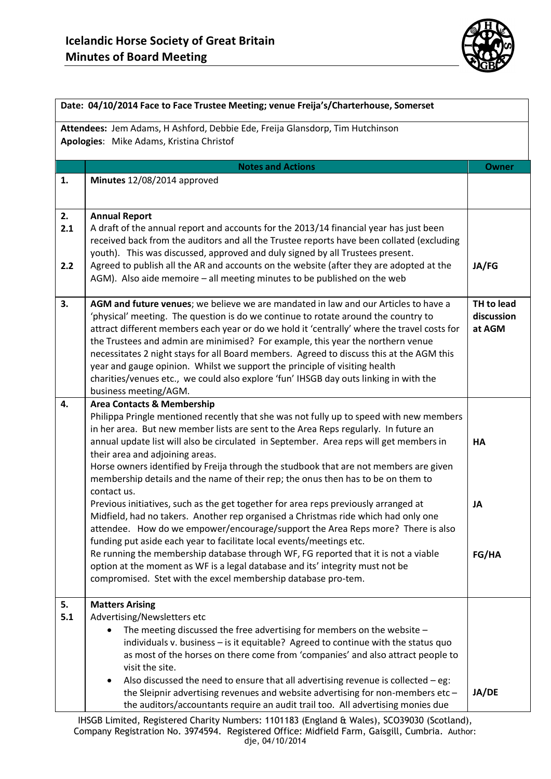

|                  | Date: 04/10/2014 Face to Face Trustee Meeting; venue Freija's/Charterhouse, Somerset                                                                                                                                                                                                                                                                                                                                                                                                                                                                                                                                                                    |              |  |  |  |  |
|------------------|---------------------------------------------------------------------------------------------------------------------------------------------------------------------------------------------------------------------------------------------------------------------------------------------------------------------------------------------------------------------------------------------------------------------------------------------------------------------------------------------------------------------------------------------------------------------------------------------------------------------------------------------------------|--------------|--|--|--|--|
|                  | Attendees: Jem Adams, H Ashford, Debbie Ede, Freija Glansdorp, Tim Hutchinson<br>Apologies: Mike Adams, Kristina Christof                                                                                                                                                                                                                                                                                                                                                                                                                                                                                                                               |              |  |  |  |  |
|                  | <b>Notes and Actions</b>                                                                                                                                                                                                                                                                                                                                                                                                                                                                                                                                                                                                                                | <b>Owner</b> |  |  |  |  |
| 1.               | Minutes 12/08/2014 approved                                                                                                                                                                                                                                                                                                                                                                                                                                                                                                                                                                                                                             |              |  |  |  |  |
| 2.<br>2.1<br>2.2 | <b>Annual Report</b><br>A draft of the annual report and accounts for the 2013/14 financial year has just been<br>received back from the auditors and all the Trustee reports have been collated (excluding<br>youth). This was discussed, approved and duly signed by all Trustees present.<br>Agreed to publish all the AR and accounts on the website (after they are adopted at the<br>AGM). Also aide memoire - all meeting minutes to be published on the web                                                                                                                                                                                     |              |  |  |  |  |
| 3.               | AGM and future venues; we believe we are mandated in law and our Articles to have a<br>'physical' meeting. The question is do we continue to rotate around the country to<br>attract different members each year or do we hold it 'centrally' where the travel costs for<br>the Trustees and admin are minimised? For example, this year the northern venue<br>necessitates 2 night stays for all Board members. Agreed to discuss this at the AGM this<br>year and gauge opinion. Whilst we support the principle of visiting health<br>charities/venues etc., we could also explore 'fun' IHSGB day outs linking in with the<br>business meeting/AGM. |              |  |  |  |  |
| 4.               | <b>Area Contacts &amp; Membership</b><br>Philippa Pringle mentioned recently that she was not fully up to speed with new members<br>in her area. But new member lists are sent to the Area Reps regularly. In future an<br>annual update list will also be circulated in September. Area reps will get members in<br>their area and adjoining areas.<br>Horse owners identified by Freija through the studbook that are not members are given<br>membership details and the name of their rep; the onus then has to be on them to<br>contact us.                                                                                                        |              |  |  |  |  |
|                  | Previous initiatives, such as the get together for area reps previously arranged at<br>Midfield, had no takers. Another rep organised a Christmas ride which had only one<br>attendee. How do we empower/encourage/support the Area Reps more? There is also<br>funding put aside each year to facilitate local events/meetings etc.<br>Re running the membership database through WF, FG reported that it is not a viable<br>option at the moment as WF is a legal database and its' integrity must not be<br>compromised. Stet with the excel membership database pro-tem.                                                                            | JA<br>FG/HA  |  |  |  |  |
| 5.<br>5.1        | <b>Matters Arising</b><br>Advertising/Newsletters etc<br>The meeting discussed the free advertising for members on the website $-$<br>individuals v. business - is it equitable? Agreed to continue with the status quo<br>as most of the horses on there come from 'companies' and also attract people to<br>visit the site.<br>Also discussed the need to ensure that all advertising revenue is collected $-$ eg:<br>the Sleipnir advertising revenues and website advertising for non-members etc-<br>the auditors/accountants require an audit trail too. All advertising monies due                                                               |              |  |  |  |  |

IHSGB Limited, Registered Charity Numbers: 1101183 (England & Wales), SCO39030 (Scotland), Company Registration No. 3974594. Registered Office: Midfield Farm, Gaisgill, Cumbria. Author: dje, 04/10/2014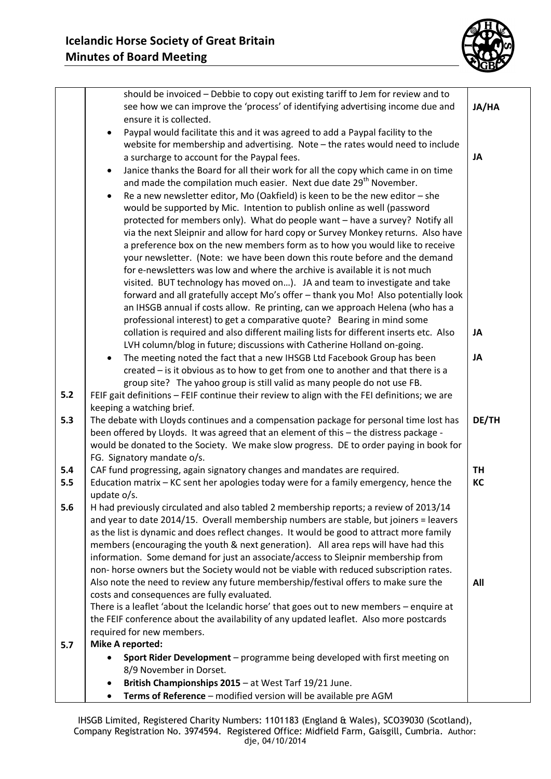

|       | should be invoiced - Debbie to copy out existing tariff to Jem for review and to<br>see how we can improve the 'process' of identifying advertising income due and<br>ensure it is collected.                                                                                                                                                                                                                                                                                                                | JA/HA     |  |  |  |  |
|-------|--------------------------------------------------------------------------------------------------------------------------------------------------------------------------------------------------------------------------------------------------------------------------------------------------------------------------------------------------------------------------------------------------------------------------------------------------------------------------------------------------------------|-----------|--|--|--|--|
|       | Paypal would facilitate this and it was agreed to add a Paypal facility to the<br>$\bullet$<br>website for membership and advertising. Note - the rates would need to include<br>a surcharge to account for the Paypal fees.<br>Janice thanks the Board for all their work for all the copy which came in on time<br>٠                                                                                                                                                                                       |           |  |  |  |  |
|       | and made the compilation much easier. Next due date 29 <sup>th</sup> November.<br>Re a new newsletter editor, Mo (Oakfield) is keen to be the new editor - she<br>$\bullet$<br>would be supported by Mic. Intention to publish online as well (password<br>protected for members only). What do people want - have a survey? Notify all<br>via the next Sleipnir and allow for hard copy or Survey Monkey returns. Also have<br>a preference box on the new members form as to how you would like to receive |           |  |  |  |  |
|       | your newsletter. (Note: we have been down this route before and the demand<br>for e-newsletters was low and where the archive is available it is not much<br>visited. BUT technology has moved on). JA and team to investigate and take<br>forward and all gratefully accept Mo's offer - thank you Mo! Also potentially look                                                                                                                                                                                |           |  |  |  |  |
|       | an IHSGB annual if costs allow. Re printing, can we approach Helena (who has a<br>professional interest) to get a comparative quote? Bearing in mind some<br>collation is required and also different mailing lists for different inserts etc. Also                                                                                                                                                                                                                                                          |           |  |  |  |  |
| $5.2$ | LVH column/blog in future; discussions with Catherine Holland on-going.<br>The meeting noted the fact that a new IHSGB Ltd Facebook Group has been<br>$\bullet$<br>created – is it obvious as to how to get from one to another and that there is a<br>group site? The yahoo group is still valid as many people do not use FB.                                                                                                                                                                              | JA        |  |  |  |  |
|       | FEIF gait definitions - FEIF continue their review to align with the FEI definitions; we are<br>keeping a watching brief.                                                                                                                                                                                                                                                                                                                                                                                    |           |  |  |  |  |
| 5.3   | The debate with Lloyds continues and a compensation package for personal time lost has<br>been offered by Lloyds. It was agreed that an element of this - the distress package -<br>would be donated to the Society. We make slow progress. DE to order paying in book for                                                                                                                                                                                                                                   |           |  |  |  |  |
| 5.4   | FG. Signatory mandate o/s.<br>CAF fund progressing, again signatory changes and mandates are required.                                                                                                                                                                                                                                                                                                                                                                                                       | <b>TH</b> |  |  |  |  |
| 5.5   | Education matrix - KC sent her apologies today were for a family emergency, hence the<br>update o/s.                                                                                                                                                                                                                                                                                                                                                                                                         |           |  |  |  |  |
| 5.6   | H had previously circulated and also tabled 2 membership reports; a review of 2013/14<br>and year to date 2014/15. Overall membership numbers are stable, but joiners = leavers<br>as the list is dynamic and does reflect changes. It would be good to attract more family<br>members (encouraging the youth & next generation). All area reps will have had this<br>information. Some demand for just an associate/access to Sleipnir membership from                                                      |           |  |  |  |  |
|       | non- horse owners but the Society would not be viable with reduced subscription rates.<br>Also note the need to review any future membership/festival offers to make sure the<br>costs and consequences are fully evaluated.<br>There is a leaflet 'about the Icelandic horse' that goes out to new members - enquire at<br>the FEIF conference about the availability of any updated leaflet. Also more postcards                                                                                           | All       |  |  |  |  |
|       | required for new members.                                                                                                                                                                                                                                                                                                                                                                                                                                                                                    |           |  |  |  |  |
| 5.7   | <b>Mike A reported:</b>                                                                                                                                                                                                                                                                                                                                                                                                                                                                                      |           |  |  |  |  |
|       | Sport Rider Development - programme being developed with first meeting on                                                                                                                                                                                                                                                                                                                                                                                                                                    |           |  |  |  |  |
|       | 8/9 November in Dorset.<br>British Championships 2015 - at West Tarf 19/21 June.                                                                                                                                                                                                                                                                                                                                                                                                                             |           |  |  |  |  |
|       | Terms of Reference - modified version will be available pre AGM                                                                                                                                                                                                                                                                                                                                                                                                                                              |           |  |  |  |  |
|       |                                                                                                                                                                                                                                                                                                                                                                                                                                                                                                              |           |  |  |  |  |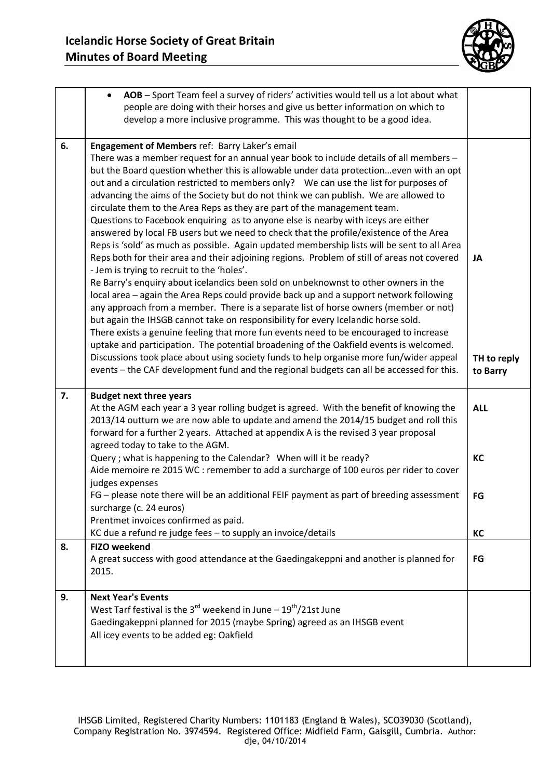

|    | AOB - Sport Team feel a survey of riders' activities would tell us a lot about what<br>$\bullet$                                                                                                                                                                                                                                                                                                                                                                                                                                                                                                                                                                                                                                                                                                                                                                                                                                                                                 |                               |  |  |
|----|----------------------------------------------------------------------------------------------------------------------------------------------------------------------------------------------------------------------------------------------------------------------------------------------------------------------------------------------------------------------------------------------------------------------------------------------------------------------------------------------------------------------------------------------------------------------------------------------------------------------------------------------------------------------------------------------------------------------------------------------------------------------------------------------------------------------------------------------------------------------------------------------------------------------------------------------------------------------------------|-------------------------------|--|--|
|    | people are doing with their horses and give us better information on which to                                                                                                                                                                                                                                                                                                                                                                                                                                                                                                                                                                                                                                                                                                                                                                                                                                                                                                    |                               |  |  |
|    | develop a more inclusive programme. This was thought to be a good idea.                                                                                                                                                                                                                                                                                                                                                                                                                                                                                                                                                                                                                                                                                                                                                                                                                                                                                                          |                               |  |  |
|    |                                                                                                                                                                                                                                                                                                                                                                                                                                                                                                                                                                                                                                                                                                                                                                                                                                                                                                                                                                                  |                               |  |  |
| 6. | Engagement of Members ref: Barry Laker's email<br>There was a member request for an annual year book to include details of all members -<br>but the Board question whether this is allowable under data protectioneven with an opt<br>out and a circulation restricted to members only?  We can use the list for purposes of<br>advancing the aims of the Society but do not think we can publish. We are allowed to<br>circulate them to the Area Reps as they are part of the management team.<br>Questions to Facebook enquiring as to anyone else is nearby with iceys are either<br>answered by local FB users but we need to check that the profile/existence of the Area                                                                                                                                                                                                                                                                                                  |                               |  |  |
|    | Reps is 'sold' as much as possible. Again updated membership lists will be sent to all Area<br>Reps both for their area and their adjoining regions. Problem of still of areas not covered<br>- Jem is trying to recruit to the 'holes'.<br>Re Barry's enquiry about icelandics been sold on unbeknownst to other owners in the<br>local area - again the Area Reps could provide back up and a support network following<br>any approach from a member. There is a separate list of horse owners (member or not)<br>but again the IHSGB cannot take on responsibility for every Icelandic horse sold.<br>There exists a genuine feeling that more fun events need to be encouraged to increase<br>uptake and participation. The potential broadening of the Oakfield events is welcomed.<br>Discussions took place about using society funds to help organise more fun/wider appeal<br>events - the CAF development fund and the regional budgets can all be accessed for this. | JA<br>TH to reply<br>to Barry |  |  |
| 7. | <b>Budget next three years</b><br>At the AGM each year a 3 year rolling budget is agreed. With the benefit of knowing the<br>2013/14 outturn we are now able to update and amend the 2014/15 budget and roll this<br>forward for a further 2 years. Attached at appendix A is the revised 3 year proposal                                                                                                                                                                                                                                                                                                                                                                                                                                                                                                                                                                                                                                                                        | <b>ALL</b>                    |  |  |
|    | agreed today to take to the AGM.<br>Query; what is happening to the Calendar? When will it be ready?<br>Aide memoire re 2015 WC : remember to add a surcharge of 100 euros per rider to cover<br>judges expenses                                                                                                                                                                                                                                                                                                                                                                                                                                                                                                                                                                                                                                                                                                                                                                 | КC                            |  |  |
|    | FG - please note there will be an additional FEIF payment as part of breeding assessment<br>surcharge (c. 24 euros)<br>Prentmet invoices confirmed as paid.                                                                                                                                                                                                                                                                                                                                                                                                                                                                                                                                                                                                                                                                                                                                                                                                                      | FG                            |  |  |
|    | KC due a refund re judge fees - to supply an invoice/details                                                                                                                                                                                                                                                                                                                                                                                                                                                                                                                                                                                                                                                                                                                                                                                                                                                                                                                     | КC                            |  |  |
| 8. | <b>FIZO weekend</b><br>A great success with good attendance at the Gaedingakeppni and another is planned for<br>2015.                                                                                                                                                                                                                                                                                                                                                                                                                                                                                                                                                                                                                                                                                                                                                                                                                                                            | FG                            |  |  |
| 9. | <b>Next Year's Events</b><br>West Tarf festival is the 3 $^{rd}$ weekend in June - 19 $^{th}/21$ st June<br>Gaedingakeppni planned for 2015 (maybe Spring) agreed as an IHSGB event<br>All icey events to be added eg: Oakfield                                                                                                                                                                                                                                                                                                                                                                                                                                                                                                                                                                                                                                                                                                                                                  |                               |  |  |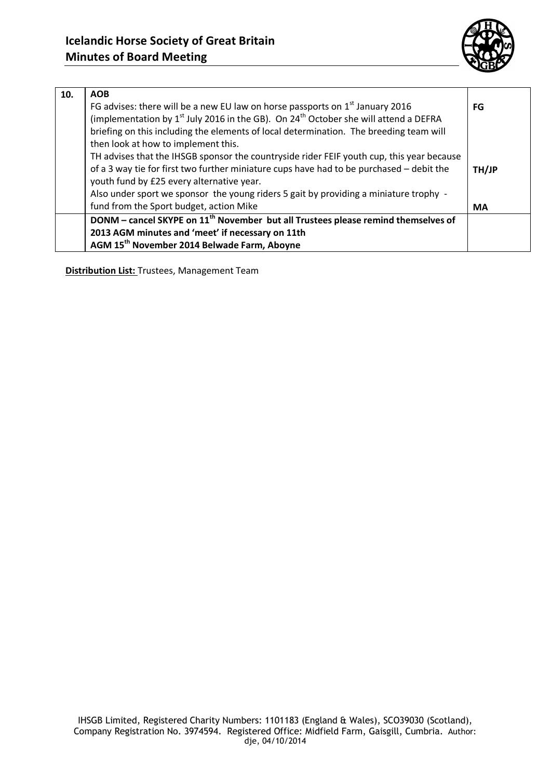

| 10. | <b>AOB</b>                                                                                                   |           |  |  |  |
|-----|--------------------------------------------------------------------------------------------------------------|-----------|--|--|--|
|     | FG advises: there will be a new EU law on horse passports on $1st$ January 2016                              |           |  |  |  |
|     | (implementation by 1 <sup>st</sup> July 2016 in the GB). On 24 <sup>th</sup> October she will attend a DEFRA |           |  |  |  |
|     | briefing on this including the elements of local determination. The breeding team will                       |           |  |  |  |
|     | then look at how to implement this.                                                                          |           |  |  |  |
|     | TH advises that the IHSGB sponsor the countryside rider FEIF youth cup, this year because                    |           |  |  |  |
|     | of a 3 way tie for first two further miniature cups have had to be purchased - debit the                     | TH/JP     |  |  |  |
|     | youth fund by £25 every alternative year.                                                                    |           |  |  |  |
|     | Also under sport we sponsor the young riders 5 gait by providing a miniature trophy -                        |           |  |  |  |
|     | fund from the Sport budget, action Mike                                                                      | <b>MA</b> |  |  |  |
|     | DONM - cancel SKYPE on 11 <sup>th</sup> November but all Trustees please remind themselves of                |           |  |  |  |
|     | 2013 AGM minutes and 'meet' if necessary on 11th                                                             |           |  |  |  |
|     | AGM 15 <sup>th</sup> November 2014 Belwade Farm, Aboyne                                                      |           |  |  |  |

**Distribution List:** Trustees, Management Team